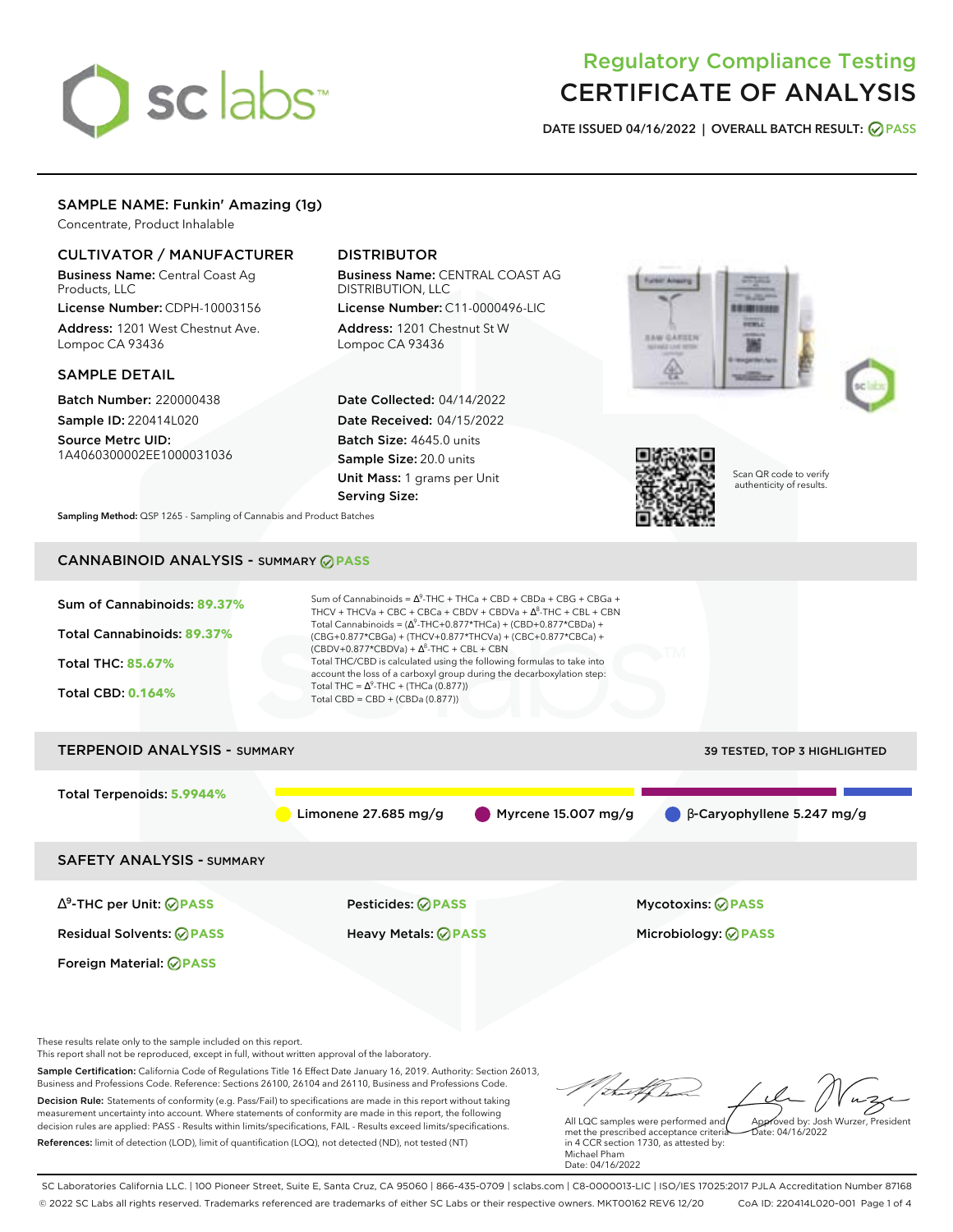# sclabs<sup>\*</sup>

# Regulatory Compliance Testing CERTIFICATE OF ANALYSIS

**DATE ISSUED 04/16/2022 | OVERALL BATCH RESULT: PASS**

# SAMPLE NAME: Funkin' Amazing (1g)

Concentrate, Product Inhalable

# CULTIVATOR / MANUFACTURER

Business Name: Central Coast Ag Products, LLC

License Number: CDPH-10003156 Address: 1201 West Chestnut Ave. Lompoc CA 93436

# SAMPLE DETAIL

Batch Number: 220000438 Sample ID: 220414L020

Source Metrc UID: 1A4060300002EE1000031036

# DISTRIBUTOR

Business Name: CENTRAL COAST AG DISTRIBUTION, LLC

License Number: C11-0000496-LIC Address: 1201 Chestnut St W Lompoc CA 93436

Date Collected: 04/14/2022 Date Received: 04/15/2022 Batch Size: 4645.0 units Sample Size: 20.0 units Unit Mass: 1 grams per Unit Serving Size:







Scan QR code to verify authenticity of results.

**Sampling Method:** QSP 1265 - Sampling of Cannabis and Product Batches

# CANNABINOID ANALYSIS - SUMMARY **PASS**



This report shall not be reproduced, except in full, without written approval of the laboratory.

Sample Certification: California Code of Regulations Title 16 Effect Date January 16, 2019. Authority: Section 26013, Business and Professions Code. Reference: Sections 26100, 26104 and 26110, Business and Professions Code. Decision Rule: Statements of conformity (e.g. Pass/Fail) to specifications are made in this report without taking measurement uncertainty into account. Where statements of conformity are made in this report, the following decision rules are applied: PASS - Results within limits/specifications, FAIL - Results exceed limits/specifications.

References: limit of detection (LOD), limit of quantification (LOQ), not detected (ND), not tested (NT)

Approved by: Josh Wurzer, President

 $hat: 04/16/2022$ 

All LQC samples were performed and met the prescribed acceptance criteria in 4 CCR section 1730, as attested by: Michael Pham Date: 04/16/2022

SC Laboratories California LLC. | 100 Pioneer Street, Suite E, Santa Cruz, CA 95060 | 866-435-0709 | sclabs.com | C8-0000013-LIC | ISO/IES 17025:2017 PJLA Accreditation Number 87168 © 2022 SC Labs all rights reserved. Trademarks referenced are trademarks of either SC Labs or their respective owners. MKT00162 REV6 12/20 CoA ID: 220414L020-001 Page 1 of 4